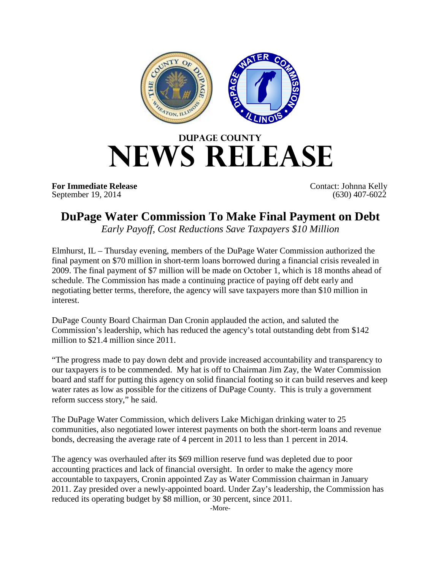

## **DUPAGE COUNTY NEWS RELEASE**

**For Immediate Release** Contact: Johnna Kelly<br>September 19, 2014 (630) 407-6022 September 19, 2014

## **DuPage Water Commission To Make Final Payment on Debt**

*Early Payoff, Cost Reductions Save Taxpayers \$10 Million*

Elmhurst, IL – Thursday evening, members of the DuPage Water Commission authorized the final payment on \$70 million in short-term loans borrowed during a financial crisis revealed in 2009. The final payment of \$7 million will be made on October 1, which is 18 months ahead of schedule. The Commission has made a continuing practice of paying off debt early and negotiating better terms, therefore, the agency will save taxpayers more than \$10 million in interest.

DuPage County Board Chairman Dan Cronin applauded the action, and saluted the Commission's leadership, which has reduced the agency's total outstanding debt from \$142 million to \$21.4 million since 2011.

"The progress made to pay down debt and provide increased accountability and transparency to our taxpayers is to be commended. My hat is off to Chairman Jim Zay, the Water Commission board and staff for putting this agency on solid financial footing so it can build reserves and keep water rates as low as possible for the citizens of DuPage County. This is truly a government reform success story," he said.

The DuPage Water Commission, which delivers Lake Michigan drinking water to 25 communities, also negotiated lower interest payments on both the short-term loans and revenue bonds, decreasing the average rate of 4 percent in 2011 to less than 1 percent in 2014.

The agency was overhauled after its \$69 million reserve fund was depleted due to poor accounting practices and lack of financial oversight. In order to make the agency more accountable to taxpayers, Cronin appointed Zay as Water Commission chairman in January 2011. Zay presided over a newly-appointed board. Under Zay's leadership, the Commission has reduced its operating budget by \$8 million, or 30 percent, since 2011.